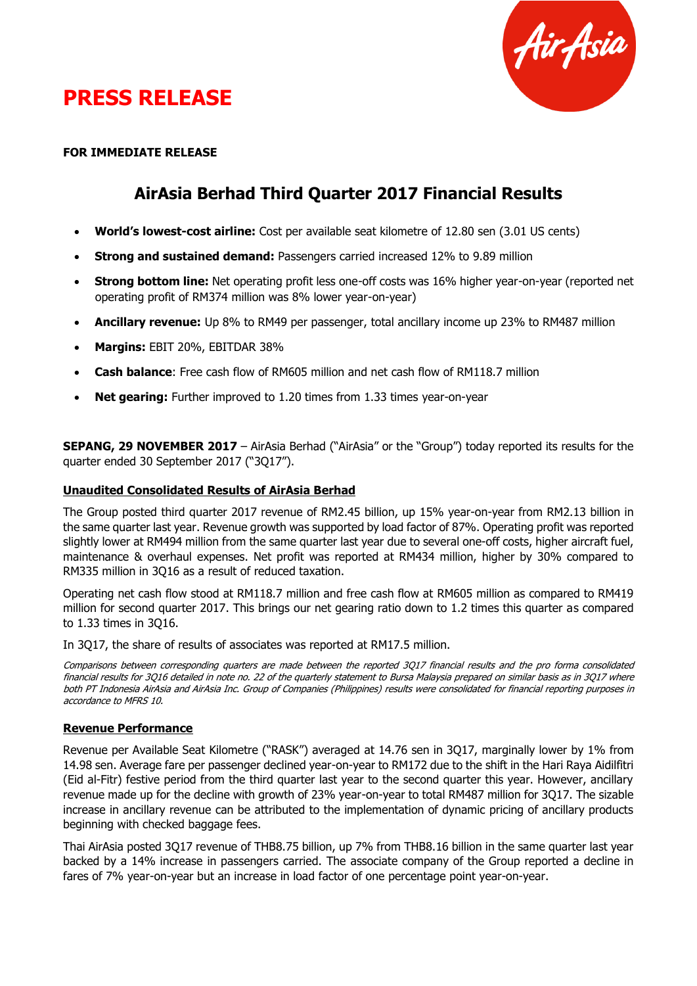

# **PRESS RELEASE**

### **FOR IMMEDIATE RELEASE**

# **AirAsia Berhad Third Quarter 2017 Financial Results**

- **World's lowest-cost airline:** Cost per available seat kilometre of 12.80 sen (3.01 US cents)
- **Strong and sustained demand:** Passengers carried increased 12% to 9.89 million
- **Strong bottom line:** Net operating profit less one-off costs was 16% higher year-on-year (reported net operating profit of RM374 million was 8% lower year-on-year)
- **Ancillary revenue:** Up 8% to RM49 per passenger, total ancillary income up 23% to RM487 million
- **Margins:** EBIT 20%, EBITDAR 38%
- **Cash balance**: Free cash flow of RM605 million and net cash flow of RM118.7 million
- **Net gearing:** Further improved to 1.20 times from 1.33 times year-on-year

**SEPANG, 29 NOVEMBER 2017** – AirAsia Berhad ("AirAsia" or the "Group") today reported its results for the quarter ended 30 September 2017 ("3Q17").

### **Unaudited Consolidated Results of AirAsia Berhad**

The Group posted third quarter 2017 revenue of RM2.45 billion, up 15% year-on-year from RM2.13 billion in the same quarter last year. Revenue growth was supported by load factor of 87%. Operating profit was reported slightly lower at RM494 million from the same quarter last year due to several one-off costs, higher aircraft fuel, maintenance & overhaul expenses. Net profit was reported at RM434 million, higher by 30% compared to RM335 million in 3Q16 as a result of reduced taxation.

Operating net cash flow stood at RM118.7 million and free cash flow at RM605 million as compared to RM419 million for second quarter 2017. This brings our net gearing ratio down to 1.2 times this quarter as compared to 1.33 times in 3Q16.

In 3Q17, the share of results of associates was reported at RM17.5 million.

Comparisons between corresponding quarters are made between the reported 3Q17 financial results and the pro forma consolidated financial results for 3Q16 detailed in note no. 22 of the quarterly statement to Bursa Malaysia prepared on similar basis as in 3Q17 where both PT Indonesia AirAsia and AirAsia Inc. Group of Companies (Philippines) results were consolidated for financial reporting purposes in accordance to MFRS 10.

#### **Revenue Performance**

Revenue per Available Seat Kilometre ("RASK") averaged at 14.76 sen in 3Q17, marginally lower by 1% from 14.98 sen. Average fare per passenger declined year-on-year to RM172 due to the shift in the Hari Raya Aidilfitri (Eid al-Fitr) festive period from the third quarter last year to the second quarter this year. However, ancillary revenue made up for the decline with growth of 23% year-on-year to total RM487 million for 3Q17. The sizable increase in ancillary revenue can be attributed to the implementation of dynamic pricing of ancillary products beginning with checked baggage fees.

Thai AirAsia posted 3Q17 revenue of THB8.75 billion, up 7% from THB8.16 billion in the same quarter last year backed by a 14% increase in passengers carried. The associate company of the Group reported a decline in fares of 7% year-on-year but an increase in load factor of one percentage point year-on-year.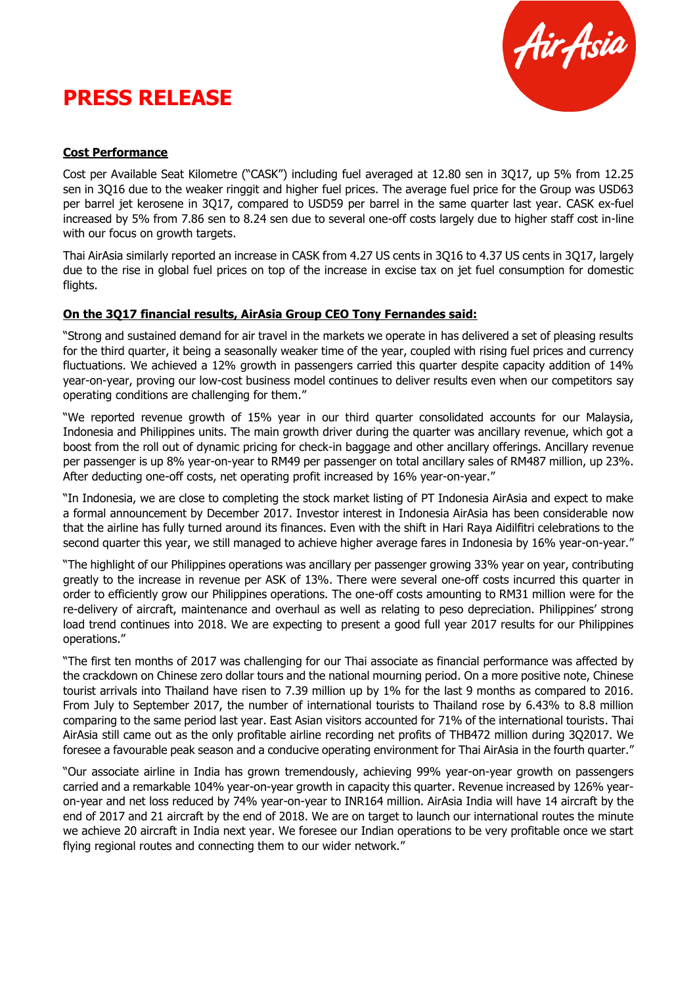# **PRESS RELEASE**



## **Cost Performance**

Cost per Available Seat Kilometre ("CASK") including fuel averaged at 12.80 sen in 3Q17, up 5% from 12.25 sen in 3Q16 due to the weaker ringgit and higher fuel prices. The average fuel price for the Group was USD63 per barrel jet kerosene in 3Q17, compared to USD59 per barrel in the same quarter last year. CASK ex-fuel increased by 5% from 7.86 sen to 8.24 sen due to several one-off costs largely due to higher staff cost in-line with our focus on growth targets.

Thai AirAsia similarly reported an increase in CASK from 4.27 US cents in 3Q16 to 4.37 US cents in 3Q17, largely due to the rise in global fuel prices on top of the increase in excise tax on jet fuel consumption for domestic flights.

### **On the 3Q17 financial results, AirAsia Group CEO Tony Fernandes said:**

"Strong and sustained demand for air travel in the markets we operate in has delivered a set of pleasing results for the third quarter, it being a seasonally weaker time of the year, coupled with rising fuel prices and currency fluctuations. We achieved a 12% growth in passengers carried this quarter despite capacity addition of 14% year-on-year, proving our low-cost business model continues to deliver results even when our competitors say operating conditions are challenging for them."

"We reported revenue growth of 15% year in our third quarter consolidated accounts for our Malaysia, Indonesia and Philippines units. The main growth driver during the quarter was ancillary revenue, which got a boost from the roll out of dynamic pricing for check-in baggage and other ancillary offerings. Ancillary revenue per passenger is up 8% year-on-year to RM49 per passenger on total ancillary sales of RM487 million, up 23%. After deducting one-off costs, net operating profit increased by 16% year-on-year."

"In Indonesia, we are close to completing the stock market listing of PT Indonesia AirAsia and expect to make a formal announcement by December 2017. Investor interest in Indonesia AirAsia has been considerable now that the airline has fully turned around its finances. Even with the shift in Hari Raya Aidilfitri celebrations to the second quarter this year, we still managed to achieve higher average fares in Indonesia by 16% year-on-year."

"The highlight of our Philippines operations was ancillary per passenger growing 33% year on year, contributing greatly to the increase in revenue per ASK of 13%. There were several one-off costs incurred this quarter in order to efficiently grow our Philippines operations. The one-off costs amounting to RM31 million were for the re-delivery of aircraft, maintenance and overhaul as well as relating to peso depreciation. Philippines' strong load trend continues into 2018. We are expecting to present a good full year 2017 results for our Philippines operations."

"The first ten months of 2017 was challenging for our Thai associate as financial performance was affected by the crackdown on Chinese zero dollar tours and the national mourning period. On a more positive note, Chinese tourist arrivals into Thailand have risen to 7.39 million up by 1% for the last 9 months as compared to 2016. From July to September 2017, the number of international tourists to Thailand rose by 6.43% to 8.8 million comparing to the same period last year. East Asian visitors accounted for 71% of the international tourists. Thai AirAsia still came out as the only profitable airline recording net profits of THB472 million during 3Q2017. We foresee a favourable peak season and a conducive operating environment for Thai AirAsia in the fourth quarter."

"Our associate airline in India has grown tremendously, achieving 99% year-on-year growth on passengers carried and a remarkable 104% year-on-year growth in capacity this quarter. Revenue increased by 126% yearon-year and net loss reduced by 74% year-on-year to INR164 million. AirAsia India will have 14 aircraft by the end of 2017 and 21 aircraft by the end of 2018. We are on target to launch our international routes the minute we achieve 20 aircraft in India next year. We foresee our Indian operations to be very profitable once we start flying regional routes and connecting them to our wider network."